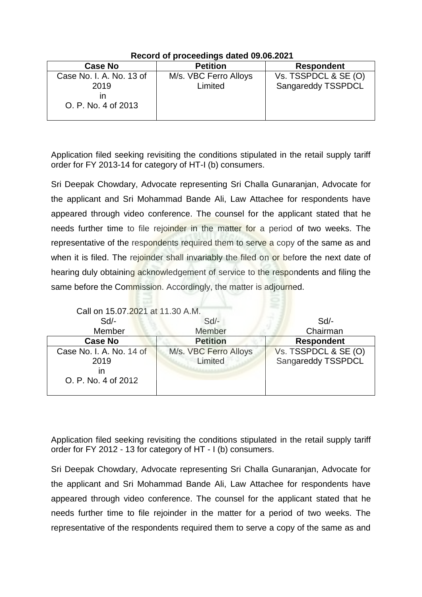| <b>Case No</b>                                          | <b>Petition</b>                  | <b>Respondent</b>                          |
|---------------------------------------------------------|----------------------------------|--------------------------------------------|
| Case No. I. A. No. 13 of<br>2019<br>O. P. No. 4 of 2013 | M/s. VBC Ferro Alloys<br>Limited | Vs. TSSPDCL & SE (O)<br>Sangareddy TSSPDCL |
|                                                         |                                  |                                            |

## **Record of proceedings dated 09.06.2021**

Application filed seeking revisiting the conditions stipulated in the retail supply tariff order for FY 2013-14 for category of HT-I (b) consumers.

Sri Deepak Chowdary, Advocate representing Sri Challa Gunaranjan, Advocate for the applicant and Sri Mohammad Bande Ali, Law Attachee for respondents have appeared through video conference. The counsel for the applicant stated that he needs further time to file rejoinder in the matter for a period of two weeks. The representative of the respondents required them to serve a copy of the same as and when it is filed. The rejoinder shall invariably the filed on or before the next date of hearing duly obtaining acknowledgement of service to the respondents and filing the same before the Commission. Accordingly, the matter is adjourned.

| Call on 15.07.2021 at 11.30 A.M.                              |                                  |                                            |
|---------------------------------------------------------------|----------------------------------|--------------------------------------------|
| $Sd$ -                                                        | Sd                               | $Sd$ -                                     |
| Member                                                        | Member                           | Chairman                                   |
| <b>Case No</b>                                                | <b>Petition</b>                  | <b>Respondent</b>                          |
| Case No. I. A. No. 14 of<br>2019<br>ın<br>O. P. No. 4 of 2012 | M/s. VBC Ferro Alloys<br>Limited | Vs. TSSPDCL & SE (O)<br>Sangareddy TSSPDCL |

Application filed seeking revisiting the conditions stipulated in the retail supply tariff order for FY 2012 - 13 for category of HT - I (b) consumers.

Sri Deepak Chowdary, Advocate representing Sri Challa Gunaranjan, Advocate for the applicant and Sri Mohammad Bande Ali, Law Attachee for respondents have appeared through video conference. The counsel for the applicant stated that he needs further time to file rejoinder in the matter for a period of two weeks. The representative of the respondents required them to serve a copy of the same as and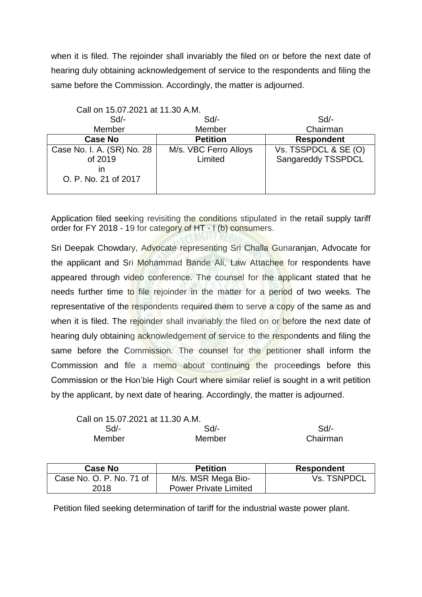when it is filed. The rejoinder shall invariably the filed on or before the next date of hearing duly obtaining acknowledgement of service to the respondents and filing the same before the Commission. Accordingly, the matter is adjourned.

| Call on 15.07.2021 at 11.30 A.M. |                       |                      |
|----------------------------------|-----------------------|----------------------|
| Sd                               | $Sd$ -                | $Sd$ -               |
| Member                           | Member                | Chairman             |
| <b>Case No</b>                   | <b>Petition</b>       | <b>Respondent</b>    |
| Case No. I. A. (SR) No. 28       | M/s. VBC Ferro Alloys | Vs. TSSPDCL & SE (O) |
| of 2019                          | Limited               | Sangareddy TSSPDCL   |
| ın                               |                       |                      |
| O. P. No. 21 of 2017             |                       |                      |
|                                  |                       |                      |

Application filed seeking revisiting the conditions stipulated in the retail supply tariff order for FY 2018 - 19 for category of HT - I (b) consumers.

Sri Deepak Chowdary, Advocate representing Sri Challa Gunaranjan, Advocate for the applicant and Sri Mohammad Bande Ali, Law Attachee for respondents have appeared through video conference. The counsel for the applicant stated that he needs further time to file rejoinder in the matter for a period of two weeks. The representative of the respondents required them to serve a copy of the same as and when it is filed. The rejoinder shall invariably the filed on or before the next date of hearing duly obtaining acknowledgement of service to the respondents and filing the same before the Commission. The counsel for the petitioner shall inform the Commission and file a memo about continuing the proceedings before this Commission or the Hon'ble High Court where similar relief is sought in a writ petition by the applicant, by next date of hearing. Accordingly, the matter is adjourned.

| Call on 15.07.2021 at 11.30 A.M. |        |          |
|----------------------------------|--------|----------|
| Sd/-                             | Sd     | Sd       |
| Member                           | Member | Chairman |

| <b>Case No</b>           | <b>Petition</b>              | <b>Respondent</b>  |
|--------------------------|------------------------------|--------------------|
| Case No. O. P. No. 71 of | M/s. MSR Mega Bio-           | <b>Vs. TSNPDCL</b> |
| 2018                     | <b>Power Private Limited</b> |                    |

Petition filed seeking determination of tariff for the industrial waste power plant.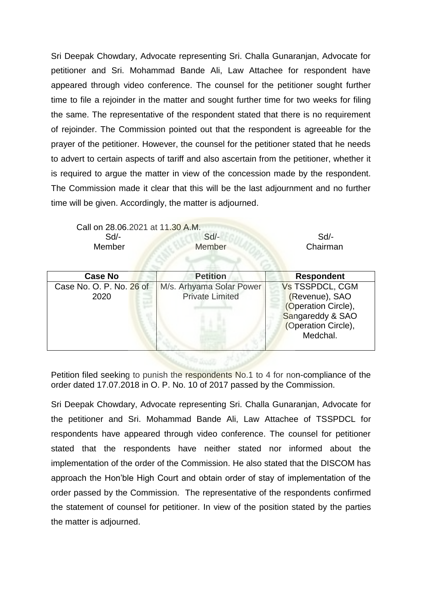Sri Deepak Chowdary, Advocate representing Sri. Challa Gunaranjan, Advocate for petitioner and Sri. Mohammad Bande Ali, Law Attachee for respondent have appeared through video conference. The counsel for the petitioner sought further time to file a rejoinder in the matter and sought further time for two weeks for filing the same. The representative of the respondent stated that there is no requirement of rejoinder. The Commission pointed out that the respondent is agreeable for the prayer of the petitioner. However, the counsel for the petitioner stated that he needs to advert to certain aspects of tariff and also ascertain from the petitioner, whether it is required to argue the matter in view of the concession made by the respondent. The Commission made it clear that this will be the last adjournment and no further time will be given. Accordingly, the matter is adjourned.

Call on 28.06.2021 at 11.30 A.M. Sd/- Sd/- Sd/- Member Member Chairman

| <b>Case No</b>                   | <b>Petition</b>                                    | <b>Respondent</b>                                                                                                      |
|----------------------------------|----------------------------------------------------|------------------------------------------------------------------------------------------------------------------------|
| Case No. O. P. No. 26 of<br>2020 | M/s. Arhyama Solar Power<br><b>Private Limited</b> | <b>Vs TSSPDCL, CGM</b><br>(Revenue), SAO<br>(Operation Circle),<br>Sangareddy & SAO<br>(Operation Circle),<br>Medchal. |

Petition filed seeking to punish the respondents No.1 to 4 for non-compliance of the order dated 17.07.2018 in O. P. No. 10 of 2017 passed by the Commission.

Sri Deepak Chowdary, Advocate representing Sri. Challa Gunaranjan, Advocate for the petitioner and Sri. Mohammad Bande Ali, Law Attachee of TSSPDCL for respondents have appeared through video conference. The counsel for petitioner stated that the respondents have neither stated nor informed about the implementation of the order of the Commission. He also stated that the DISCOM has approach the Hon'ble High Court and obtain order of stay of implementation of the order passed by the Commission. The representative of the respondents confirmed the statement of counsel for petitioner. In view of the position stated by the parties the matter is adjourned.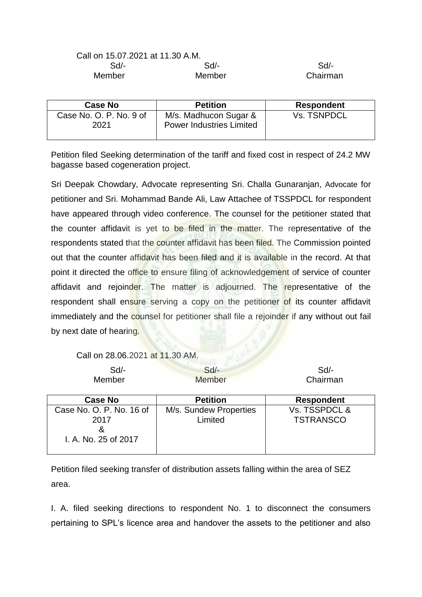| Call on 15.07.2021 at 11.30 A.M. |        |          |
|----------------------------------|--------|----------|
| Sd/-                             | $Sd/-$ | $Sd/$ -  |
| Member                           | Member | Chairman |

| <b>Case No</b>                  | <b>Petition</b>                                          | <b>Respondent</b>  |
|---------------------------------|----------------------------------------------------------|--------------------|
| Case No. O. P. No. 9 of<br>2021 | M/s. Madhucon Sugar &<br><b>Power Industries Limited</b> | <b>Vs. TSNPDCL</b> |

Petition filed Seeking determination of the tariff and fixed cost in respect of 24.2 MW bagasse based cogeneration project.

Sri Deepak Chowdary, Advocate representing Sri. Challa Gunaranjan, Advocate for petitioner and Sri. Mohammad Bande Ali, Law Attachee of TSSPDCL for respondent have appeared through video conference. The counsel for the petitioner stated that the counter affidavit is yet to be filed in the matter. The representative of the respondents stated that the counter affidavit has been filed. The Commission pointed out that the counter affidavit has been filed and it is available in the record. At that point it directed the office to ensure filing of acknowledgement of service of counter affidavit and rejoinder. The matter is adjourned. The representative of the respondent shall ensure serving a copy on the petitioner of its counter affidavit immediately and the counsel for petitioner shall file a rejoinder if any without out fail by next date of hearing.

## Call on 28.06.2021 at 11.30 AM.

| Sd<br>Member                                                  | $Sd$ -<br><b>Member</b>           | $Sd$ -<br>Chairman                |
|---------------------------------------------------------------|-----------------------------------|-----------------------------------|
| <b>Case No</b>                                                | <b>Petition</b>                   | <b>Respondent</b>                 |
| Case No. O. P. No. 16 of<br>2017<br>&<br>I. A. No. 25 of 2017 | M/s. Sundew Properties<br>Limited | Vs. TSSPDCL &<br><b>TSTRANSCO</b> |

Petition filed seeking transfer of distribution assets falling within the area of SEZ area.

I. A. filed seeking directions to respondent No. 1 to disconnect the consumers pertaining to SPL's licence area and handover the assets to the petitioner and also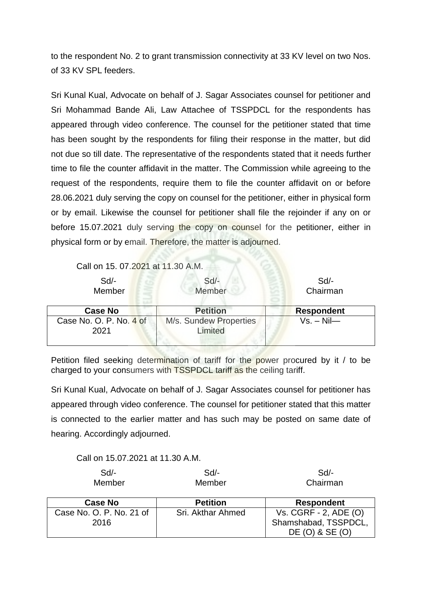to the respondent No. 2 to grant transmission connectivity at 33 KV level on two Nos. of 33 KV SPL feeders.

Sri Kunal Kual, Advocate on behalf of J. Sagar Associates counsel for petitioner and Sri Mohammad Bande Ali, Law Attachee of TSSPDCL for the respondents has appeared through video conference. The counsel for the petitioner stated that time has been sought by the respondents for filing their response in the matter, but did not due so till date. The representative of the respondents stated that it needs further time to file the counter affidavit in the matter. The Commission while agreeing to the request of the respondents, require them to file the counter affidavit on or before 28.06.2021 duly serving the copy on counsel for the petitioner, either in physical form or by email. Likewise the counsel for petitioner shall file the rejoinder if any on or before 15.07.2021 duly serving the copy on counsel for the petitioner, either in physical form or by email. Therefore, the matter is adjourned.

Call on 15. 07.2021 at 11.30 A.M.

| $Sd$ -<br>Member                | $Sd$ -<br>Member                  | $Sd$ -<br>Chairman |
|---------------------------------|-----------------------------------|--------------------|
| <b>Case No</b>                  | <b>Petition</b>                   | <b>Respondent</b>  |
| Case No. O. P. No. 4 of<br>2021 | M/s. Sundew Properties<br>Limited | $Vs. - Nil$        |

Petition filed seeking determination of tariff for the power procured by it / to be charged to your consumers with TSSPDCL tariff as the ceiling tariff.

Sri Kunal Kual, Advocate on behalf of J. Sagar Associates counsel for petitioner has appeared through video conference. The counsel for petitioner stated that this matter is connected to the earlier matter and has such may be posted on same date of hearing. Accordingly adjourned.

Call on 15.07.2021 at 11.30 A.M.

| $Sd$ -<br>Member         | $Sd$ -<br>Member  | $Sd$ -<br>Chairman    |
|--------------------------|-------------------|-----------------------|
| <b>Case No</b>           | <b>Petition</b>   | <b>Respondent</b>     |
| Case No. O. P. No. 21 of | Sri. Akthar Ahmed | Vs. CGRF - 2, ADE (O) |
| 2016                     |                   | Shamshabad, TSSPDCL,  |
|                          |                   | DE (O) & SE (O)       |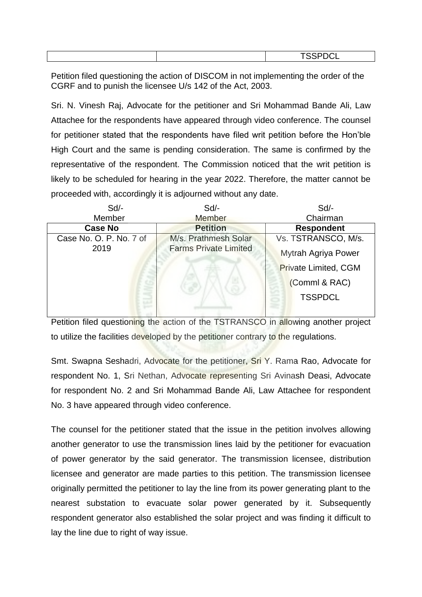|  | $\frac{1}{2}$<br>. |
|--|--------------------|
|  |                    |

Petition filed questioning the action of DISCOM in not implementing the order of the CGRF and to punish the licensee U/s 142 of the Act, 2003.

Sri. N. Vinesh Raj, Advocate for the petitioner and Sri Mohammad Bande Ali, Law Attachee for the respondents have appeared through video conference. The counsel for petitioner stated that the respondents have filed writ petition before the Hon'ble High Court and the same is pending consideration. The same is confirmed by the representative of the respondent. The Commission noticed that the writ petition is likely to be scheduled for hearing in the year 2022. Therefore, the matter cannot be proceeded with, accordingly it is adjourned without any date.

| Sd/-                    | Sd/-                         | Sd                          |  |
|-------------------------|------------------------------|-----------------------------|--|
| Member                  | Member                       | Chairman                    |  |
| <b>Case No</b>          | <b>Petition</b>              | <b>Respondent</b>           |  |
| Case No. O. P. No. 7 of | M/s. Prathmesh Solar         | Vs. TSTRANSCO, M/s.         |  |
| 2019                    | <b>Farms Private Limited</b> | Mytrah Agriya Power         |  |
|                         |                              | <b>Private Limited, CGM</b> |  |
|                         |                              | (Comml & RAC)               |  |
|                         |                              | <b>TSSPDCL</b>              |  |
|                         |                              |                             |  |

Petition filed questioning the action of the TSTRANSCO in allowing another project to utilize the facilities developed by the petitioner contrary to the regulations.

Smt. Swapna Seshadri, Advocate for the petitioner, Sri Y. Rama Rao, Advocate for respondent No. 1, Sri Nethan, Advocate representing Sri Avinash Deasi, Advocate for respondent No. 2 and Sri Mohammad Bande Ali, Law Attachee for respondent No. 3 have appeared through video conference.

The counsel for the petitioner stated that the issue in the petition involves allowing another generator to use the transmission lines laid by the petitioner for evacuation of power generator by the said generator. The transmission licensee, distribution licensee and generator are made parties to this petition. The transmission licensee originally permitted the petitioner to lay the line from its power generating plant to the nearest substation to evacuate solar power generated by it. Subsequently respondent generator also established the solar project and was finding it difficult to lay the line due to right of way issue.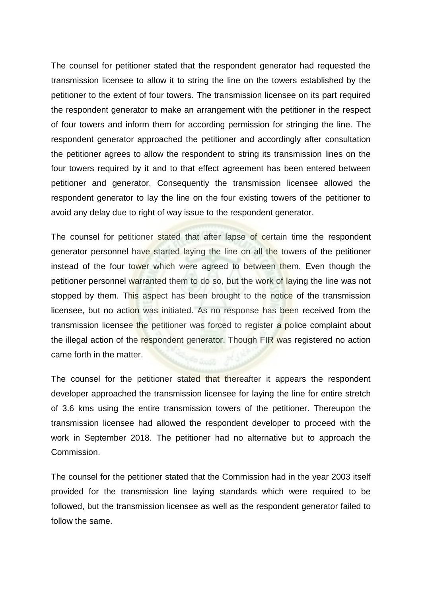The counsel for petitioner stated that the respondent generator had requested the transmission licensee to allow it to string the line on the towers established by the petitioner to the extent of four towers. The transmission licensee on its part required the respondent generator to make an arrangement with the petitioner in the respect of four towers and inform them for according permission for stringing the line. The respondent generator approached the petitioner and accordingly after consultation the petitioner agrees to allow the respondent to string its transmission lines on the four towers required by it and to that effect agreement has been entered between petitioner and generator. Consequently the transmission licensee allowed the respondent generator to lay the line on the four existing towers of the petitioner to avoid any delay due to right of way issue to the respondent generator.

The counsel for petitioner stated that after lapse of certain time the respondent generator personnel have started laying the line on all the towers of the petitioner instead of the four tower which were agreed to between them. Even though the petitioner personnel warranted them to do so, but the work of laying the line was not stopped by them. This aspect has been brought to the notice of the transmission licensee, but no action was initiated. As no response has been received from the transmission licensee the petitioner was forced to register a police complaint about the illegal action of the respondent generator. Though FIR was registered no action came forth in the matter.

The counsel for the petitioner stated that thereafter it appears the respondent developer approached the transmission licensee for laying the line for entire stretch of 3.6 kms using the entire transmission towers of the petitioner. Thereupon the transmission licensee had allowed the respondent developer to proceed with the work in September 2018. The petitioner had no alternative but to approach the Commission.

The counsel for the petitioner stated that the Commission had in the year 2003 itself provided for the transmission line laying standards which were required to be followed, but the transmission licensee as well as the respondent generator failed to follow the same.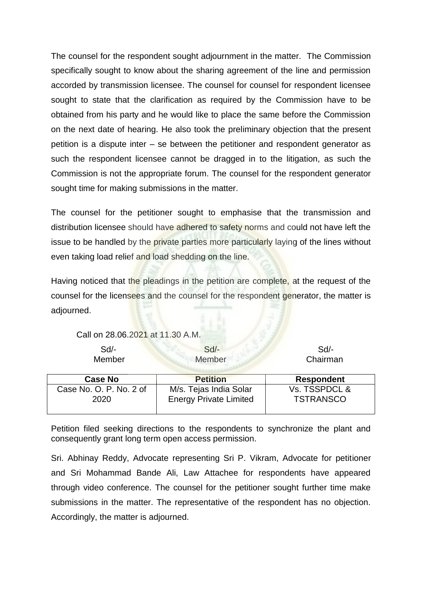The counsel for the respondent sought adjournment in the matter. The Commission specifically sought to know about the sharing agreement of the line and permission accorded by transmission licensee. The counsel for counsel for respondent licensee sought to state that the clarification as required by the Commission have to be obtained from his party and he would like to place the same before the Commission on the next date of hearing. He also took the preliminary objection that the present petition is a dispute inter – se between the petitioner and respondent generator as such the respondent licensee cannot be dragged in to the litigation, as such the Commission is not the appropriate forum. The counsel for the respondent generator sought time for making submissions in the matter.

The counsel for the petitioner sought to emphasise that the transmission and distribution licensee should have adhered to safety norms and could not have left the issue to be handled by the private parties more particularly laying of the lines without even taking load relief and load shedding on the line.

Having noticed that the pleadings in the petition are complete, at the request of the counsel for the licensees and the counsel for the respondent generator, the matter is adjourned.

Call on 28.06.2021 at 11.30 A.M.

Sd/- Sd/- Sd/-

Member Member Member Chairman

| <b>Case No</b>                  | <b>Petition</b>                                         | <b>Respondent</b>                 |  |  |
|---------------------------------|---------------------------------------------------------|-----------------------------------|--|--|
| Case No. O. P. No. 2 of<br>2020 | M/s. Tejas India Solar<br><b>Energy Private Limited</b> | Vs. TSSPDCL &<br><b>TSTRANSCO</b> |  |  |

Petition filed seeking directions to the respondents to synchronize the plant and consequently grant long term open access permission.

Sri. Abhinay Reddy, Advocate representing Sri P. Vikram, Advocate for petitioner and Sri Mohammad Bande Ali, Law Attachee for respondents have appeared through video conference. The counsel for the petitioner sought further time make submissions in the matter. The representative of the respondent has no objection. Accordingly, the matter is adjourned.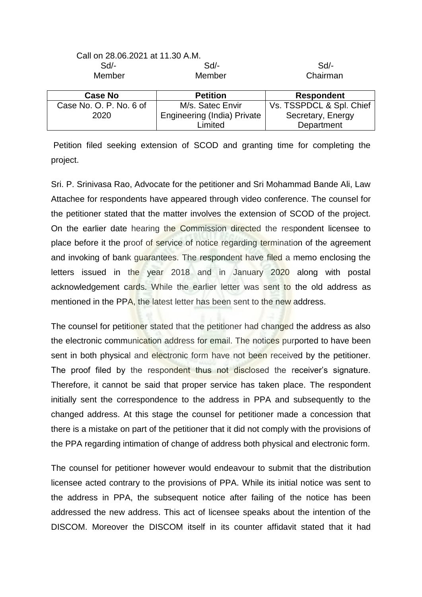| <u>Call on 28.06.2021 at 11.30 A.M.</u> |                                    |                          |  |
|-----------------------------------------|------------------------------------|--------------------------|--|
| $Sd$ -                                  | $Sd$ -                             | $Sd$ -                   |  |
| Member                                  | Chairman<br>Member                 |                          |  |
| <b>Case No</b>                          | <b>Petition</b>                    | <b>Respondent</b>        |  |
| Case No. O. P. No. 6 of                 | M/s. Satec Envir                   | Vs. TSSPDCL & Spl. Chief |  |
| 2020                                    | <b>Engineering (India) Private</b> | Secretary, Energy        |  |
|                                         | Limited                            | Department               |  |

 $C_1$  as 28.06.21.21.30 A.M.

Petition filed seeking extension of SCOD and granting time for completing the project.

Sri. P. Srinivasa Rao, Advocate for the petitioner and Sri Mohammad Bande Ali, Law Attachee for respondents have appeared through video conference. The counsel for the petitioner stated that the matter involves the extension of SCOD of the project. On the earlier date hearing the Commission directed the respondent licensee to place before it the proof of service of notice regarding termination of the agreement and invoking of bank guarantees. The respondent have filed a memo enclosing the letters issued in the year 2018 and in January 2020 along with postal acknowledgement cards. While the earlier letter was sent to the old address as mentioned in the PPA, the latest letter has been sent to the new address.

The counsel for petitioner stated that the petitioner had changed the address as also the electronic communication address for email. The notices purported to have been sent in both physical and electronic form have not been received by the petitioner. The proof filed by the respondent thus not disclosed the receiver's signature. Therefore, it cannot be said that proper service has taken place. The respondent initially sent the correspondence to the address in PPA and subsequently to the changed address. At this stage the counsel for petitioner made a concession that there is a mistake on part of the petitioner that it did not comply with the provisions of the PPA regarding intimation of change of address both physical and electronic form.

The counsel for petitioner however would endeavour to submit that the distribution licensee acted contrary to the provisions of PPA. While its initial notice was sent to the address in PPA, the subsequent notice after failing of the notice has been addressed the new address. This act of licensee speaks about the intention of the DISCOM. Moreover the DISCOM itself in its counter affidavit stated that it had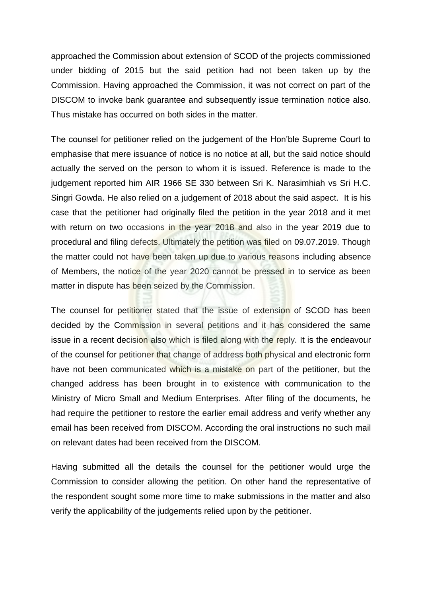approached the Commission about extension of SCOD of the projects commissioned under bidding of 2015 but the said petition had not been taken up by the Commission. Having approached the Commission, it was not correct on part of the DISCOM to invoke bank guarantee and subsequently issue termination notice also. Thus mistake has occurred on both sides in the matter.

The counsel for petitioner relied on the judgement of the Hon'ble Supreme Court to emphasise that mere issuance of notice is no notice at all, but the said notice should actually the served on the person to whom it is issued. Reference is made to the judgement reported him AIR 1966 SE 330 between Sri K. Narasimhiah vs Sri H.C. Singri Gowda. He also relied on a judgement of 2018 about the said aspect. It is his case that the petitioner had originally filed the petition in the year 2018 and it met with return on two occasions in the year 2018 and also in the year 2019 due to procedural and filing defects. Ultimately the petition was filed on 09.07.2019. Though the matter could not have been taken up due to various reasons including absence of Members, the notice of the year 2020 cannot be pressed in to service as been matter in dispute has been seized by the Commission.

The counsel for petitioner stated that the issue of extension of SCOD has been decided by the Commission in several petitions and it has considered the same issue in a recent decision also which is filed along with the reply. It is the endeavour of the counsel for petitioner that change of address both physical and electronic form have not been communicated which is a mistake on part of the petitioner, but the changed address has been brought in to existence with communication to the Ministry of Micro Small and Medium Enterprises. After filing of the documents, he had require the petitioner to restore the earlier email address and verify whether any email has been received from DISCOM. According the oral instructions no such mail on relevant dates had been received from the DISCOM.

Having submitted all the details the counsel for the petitioner would urge the Commission to consider allowing the petition. On other hand the representative of the respondent sought some more time to make submissions in the matter and also verify the applicability of the judgements relied upon by the petitioner.